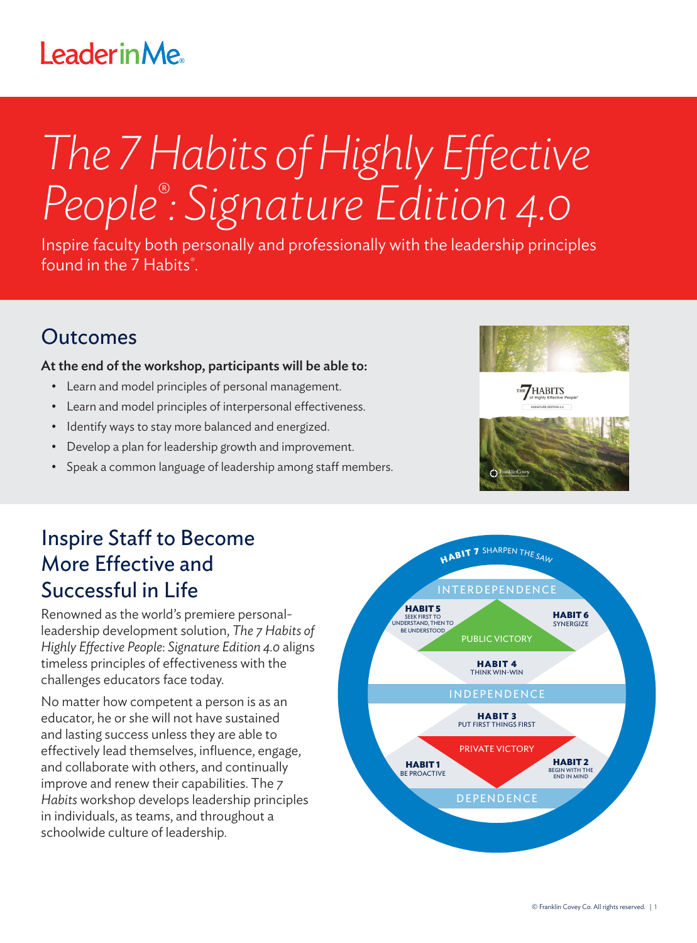## **LeaderinMe**

# *The 7 Habits of Highly Effective People® : Signature Edition 4.0*

Inspire faculty both personally and professionally with the leadership principles found in the 7 Habits*®* .

#### Outcomes

#### At the end of the workshop, participants will be able to:

- Learn and model principles of personal management.
- Learn and model principles of interpersonal effectiveness.
- Identify ways to stay more balanced and energized.
- Develop a plan for leadership growth and improvement.
- Speak a common language of leadership among staff members.



#### Inspire Staff to Become More Effective and Successful in Life

Renowned as the world's premiere personalleadership development solution, *The 7 Habits of Highly Effective People*: *Signature Edition 4.0* aligns timeless principles of effectiveness with the challenges educators face today.

No matter how competent a person is as an educator, he or she will not have sustained and lasting success unless they are able to effectively lead themselves, influence, engage, and collaborate with others, and continually improve and renew their capabilities. The *7 Habits* workshop develops leadership principles in individuals, as teams, and throughout a schoolwide culture of leadership.